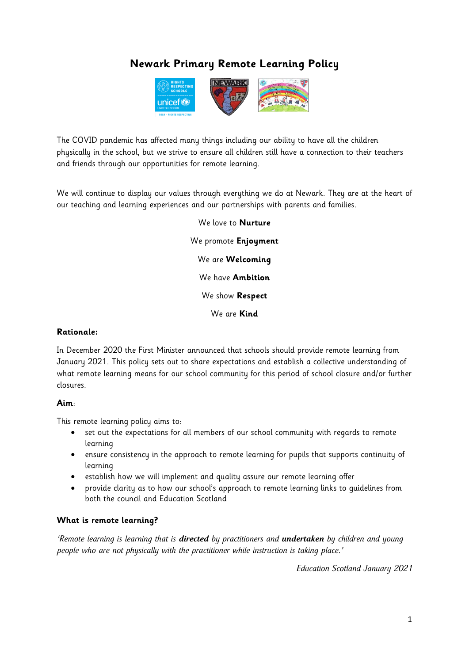# **Newark Primary Remote Learning Policy**



The COVID pandemic has affected many things including our ability to have all the children physically in the school, but we strive to ensure all children still have a connection to their teachers and friends through our opportunities for remote learning.

We will continue to display our values through everything we do at Newark. They are at the heart of our teaching and learning experiences and our partnerships with parents and families.

> We love to **Nurture** We promote **Enjoyment** We are **Welcoming** We have **Ambition** We show **Respect**  We are **Kind**

#### **Rationale:**

In December 2020 the First Minister announced that schools should provide remote learning from January 2021. This policy sets out to share expectations and establish a collective understanding of what remote learning means for our school community for this period of school closure and/or further closures.

#### **Aim**:

This remote learning policy aims to:

- set out the expectations for all members of our school community with regards to remote learning
- ensure consistency in the approach to remote learning for pupils that supports continuity of learning
- establish how we will implement and quality assure our remote learning offer
- provide clarity as to how our school's approach to remote learning links to guidelines from both the council and Education Scotland

#### **What is remote learning?**

*'Remote learning is learning that is directed by practitioners and undertaken by children and young people who are not physically with the practitioner while instruction is taking place.'*

*Education Scotland January 2021*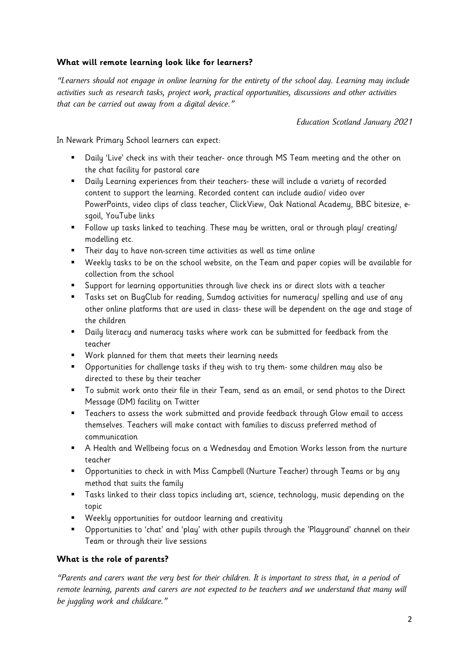# **What will remote learning look like for learners?**

*"Learners should not engage in online learning for the entirety of the school day. Learning may include activities such as research tasks, project work, practical opportunities, discussions and other activities that can be carried out away from a digital device."* 

*Education Scotland January 2021*

In Newark Primary School learners can expect:

- Daily 'Live' check ins with their teacher- once through MS Team meeting and the other on the chat facility for pastoral care
- Daily Learning experiences from their teachers- these will include a variety of recorded content to support the learning. Recorded content can include audio/ video over PowerPoints, video clips of class teacher, ClickView, Oak National Academy, BBC bitesize, esgoil, YouTube links
- Follow up tasks linked to teaching. These may be written, oral or through play/ creating/ modelling etc.
- Their day to have non-screen time activities as well as time online
- Weekly tasks to be on the school website, on the Team and paper copies will be available for collection from the school
- Support for learning opportunities through live check ins or direct slots with a teacher
- Tasks set on BugClub for reading, Sumdog activities for numeracy/ spelling and use of any other online platforms that are used in class- these will be dependent on the age and stage of the children
- Daily literacy and numeracy tasks where work can be submitted for feedback from the teacher
- Work planned for them that meets their learning needs
- Opportunities for challenge tasks if they wish to try them- some children may also be directed to these by their teacher
- To submit work onto their file in their Team, send as an email, or send photos to the Direct Message (DM) facility on Twitter
- **Teachers to assess the work submitted and provide feedback through Glow email to access** themselves. Teachers will make contact with families to discuss preferred method of communication
- A Health and Wellbeing focus on a Wednesday and Emotion Works lesson from the nurture teacher
- **•** Opportunities to check in with Miss Campbell (Nurture Teacher) through Teams or by any method that suits the family
- Tasks linked to their class topics including art, science, technology, music depending on the topic
- Weekly opportunities for outdoor learning and creativity
- Opportunities to 'chat' and 'play' with other pupils through the 'Playground' channel on their Team or through their live sessions

# **What is the role of parents?**

*"Parents and carers want the very best for their children. It is important to stress that, in a period of remote learning, parents and carers are not expected to be teachers and we understand that many will be juggling work and childcare."*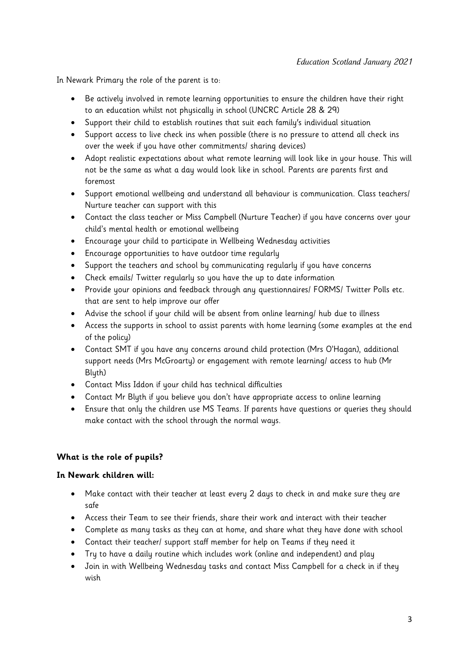In Newark Primary the role of the parent is to:

- Be actively involved in remote learning opportunities to ensure the children have their right to an education whilst not physically in school (UNCRC Article 28 & 29)
- Support their child to establish routines that suit each family's individual situation
- Support access to live check ins when possible (there is no pressure to attend all check ins over the week if you have other commitments/ sharing devices)
- Adopt realistic expectations about what remote learning will look like in your house. This will not be the same as what a day would look like in school. Parents are parents first and foremost
- Support emotional wellbeing and understand all behaviour is communication. Class teachers/ Nurture teacher can support with this
- Contact the class teacher or Miss Campbell (Nurture Teacher) if you have concerns over your child's mental health or emotional wellbeing
- Encourage your child to participate in Wellbeing Wednesday activities
- Encourage opportunities to have outdoor time regularly
- Support the teachers and school by communicating regularly if you have concerns
- Check emails/ Twitter regularly so you have the up to date information
- Provide your opinions and feedback through any questionnaires/ FORMS/ Twitter Polls etc. that are sent to help improve our offer
- Advise the school if your child will be absent from online learning/ hub due to illness
- Access the supports in school to assist parents with home learning (some examples at the end of the policy)
- Contact SMT if you have any concerns around child protection (Mrs O'Hagan), additional support needs (Mrs McGroarty) or engagement with remote learning/ access to hub (Mr Blyth)
- Contact Miss Iddon if your child has technical difficulties
- Contact Mr Blyth if you believe you don't have appropriate access to online learning
- Ensure that only the children use MS Teams. If parents have questions or queries they should make contact with the school through the normal ways.

#### **What is the role of pupils?**

#### **In Newark children will:**

- Make contact with their teacher at least every 2 days to check in and make sure they are safe
- Access their Team to see their friends, share their work and interact with their teacher
- Complete as many tasks as they can at home, and share what they have done with school
- Contact their teacher/ support staff member for help on Teams if they need it
- Try to have a daily routine which includes work (online and independent) and play
- Join in with Wellbeing Wednesday tasks and contact Miss Campbell for a check in if they wish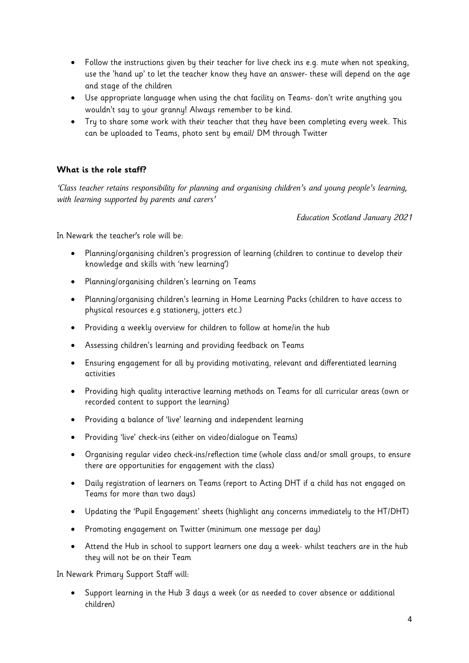- Follow the instructions given by their teacher for live check ins e.g. mute when not speaking, use the 'hand up' to let the teacher know they have an answer- these will depend on the age and stage of the children
- Use appropriate language when using the chat facility on Teams- don't write anything you wouldn't say to your granny! Always remember to be kind.
- Try to share some work with their teacher that they have been completing every week. This can be uploaded to Teams, photo sent by email/ DM through Twitter

## **What is the role staff?**

*'Class teacher retains responsibility for planning and organising children's and young people's learning, with learning supported by parents and carers'* 

*Education Scotland January 2021*

In Newark the teacher's role will be:

- Planning/organising children's progression of learning (children to continue to develop their knowledge and skills with 'new learning')
- Planning/organising children's learning on Teams
- Planning/organising children's learning in Home Learning Packs (children to have access to physical resources e.g stationery, jotters etc.)
- Providing a weekly overview for children to follow at home/in the hub
- Assessing children's learning and providing feedback on Teams
- Ensuring engagement for all by providing motivating, relevant and differentiated learning activities
- Providing high quality interactive learning methods on Teams for all curricular areas (own or recorded content to support the learning)
- Providing a balance of 'live' learning and independent learning
- Providing 'live' check-ins (either on video/dialogue on Teams)
- Organising regular video check-ins/reflection time (whole class and/or small groups, to ensure there are opportunities for engagement with the class)
- Daily registration of learners on Teams (report to Acting DHT if a child has not engaged on Teams for more than two days)
- Updating the 'Pupil Engagement' sheets (highlight any concerns immediately to the HT/DHT)
- Promoting engagement on Twitter (minimum one message per day)
- Attend the Hub in school to support learners one day a week- whilst teachers are in the hub they will not be on their Team

In Newark Primary Support Staff will:

 Support learning in the Hub 3 days a week (or as needed to cover absence or additional children)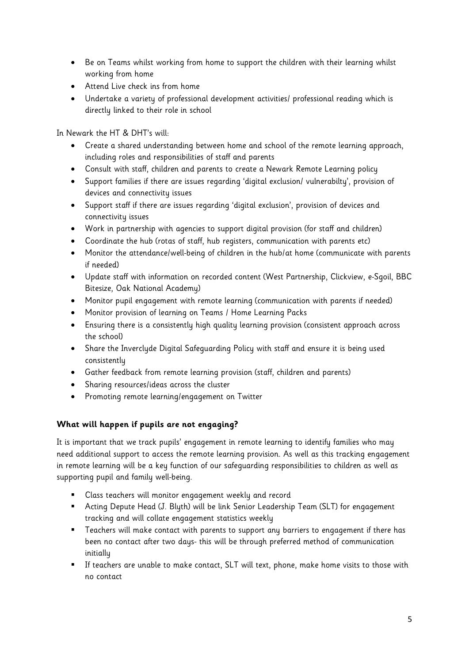- Be on Teams whilst working from home to support the children with their learning whilst working from home
- Attend Live check ins from home
- Undertake a variety of professional development activities/ professional reading which is directly linked to their role in school

In Newark the HT & DHT's will:

- Create a shared understanding between home and school of the remote learning approach, including roles and responsibilities of staff and parents
- Consult with staff, children and parents to create a Newark Remote Learning policy
- Support families if there are issues regarding 'digital exclusion/ vulnerabilty', provision of devices and connectivity issues
- Support staff if there are issues regarding 'digital exclusion', provision of devices and connectivity issues
- Work in partnership with agencies to support digital provision (for staff and children)
- Coordinate the hub (rotas of staff, hub registers, communication with parents etc)
- Monitor the attendance/well-being of children in the hub/at home (communicate with parents if needed)
- Update staff with information on recorded content (West Partnership, Clickview, e-Sgoil, BBC Bitesize, Oak National Academy)
- Monitor pupil engagement with remote learning (communication with parents if needed)
- Monitor provision of learning on Teams / Home Learning Packs
- Ensuring there is a consistently high quality learning provision (consistent approach across the school)
- Share the Inverclyde Digital Safeguarding Policy with staff and ensure it is being used consistently
- Gather feedback from remote learning provision (staff, children and parents)
- Sharing resources/ideas across the cluster
- Promoting remote learning/engagement on Twitter

# **What will happen if pupils are not engaging?**

It is important that we track pupils' engagement in remote learning to identify families who may need additional support to access the remote learning provision. As well as this tracking engagement in remote learning will be a key function of our safeguarding responsibilities to children as well as supporting pupil and family well-being.

- Class teachers will monitor engagement weekly and record
- Acting Depute Head (J. Blyth) will be link Senior Leadership Team (SLT) for engagement tracking and will collate engagement statistics weekly
- **Teachers will make contact with parents to support any barriers to engagement if there has** been no contact after two days- this will be through preferred method of communication initially
- If teachers are unable to make contact, SLT will text, phone, make home visits to those with no contact